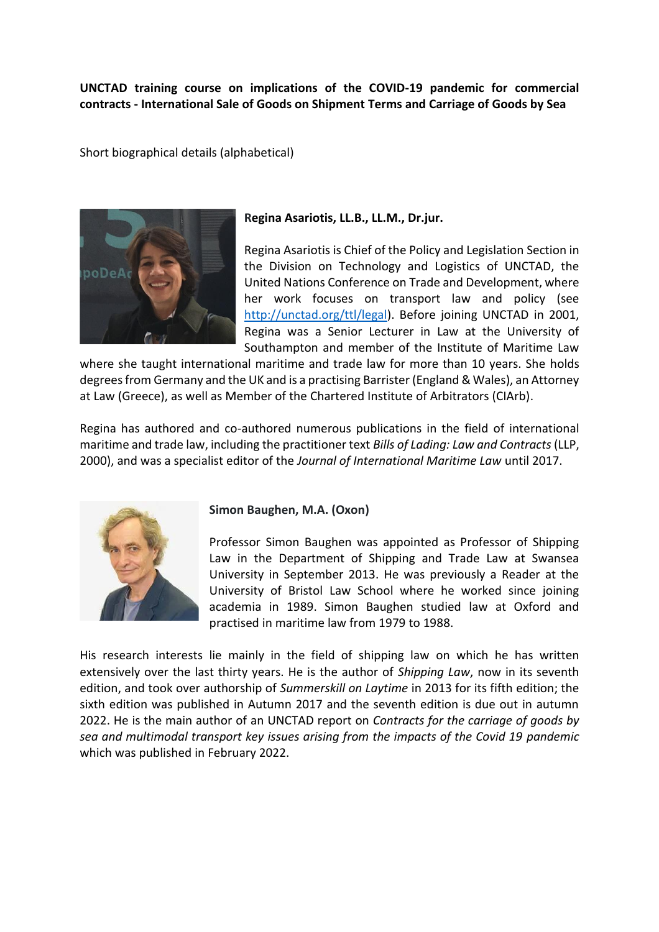## **UNCTAD training course on implications of the COVID-19 pandemic for commercial contracts - International Sale of Goods on Shipment Terms and Carriage of Goods by Sea**

Short biographical details (alphabetical)



## **Regina Asariotis, LL.B., LL.M., Dr.jur.**

Regina Asariotis is Chief of the Policy and Legislation Section in the Division on Technology and Logistics of UNCTAD, the United Nations Conference on Trade and Development, where her work focuses on transport law and policy (see [http://unctad.org/ttl/legal\)](http://unctad.org/ttl/legal). Before joining UNCTAD in 2001, Regina was a Senior Lecturer in Law at the University of Southampton and member of the Institute of Maritime Law

where she taught international maritime and trade law for more than 10 years. She holds degrees from Germany and the UK and is a practising Barrister (England & Wales), an Attorney at Law (Greece), as well as Member of the Chartered Institute of Arbitrators (CIArb).

Regina has authored and co-authored numerous publications in the field of international maritime and trade law, including the practitioner text *Bills of Lading: Law and Contracts* (LLP, 2000), and was a specialist editor of the *Journal of International Maritime Law* until 2017.



**Simon Baughen, M.A. (Oxon)**

Professor Simon Baughen was appointed as Professor of Shipping Law in the Department of Shipping and Trade Law at Swansea University in September 2013. He was previously a Reader at the University of Bristol Law School where he worked since joining academia in 1989. Simon Baughen studied law at Oxford and practised in maritime law from 1979 to 1988.

His research interests lie mainly in the field of shipping law on which he has written extensively over the last thirty years. He is the author of *Shipping Law*, now in its seventh edition, and took over authorship of *Summerskill on Laytime* in 2013 for its fifth edition; the sixth edition was published in Autumn 2017 and the seventh edition is due out in autumn 2022. He is the main author of an UNCTAD report on *Contracts for the carriage of goods by sea and multimodal transport key issues arising from the impacts of the Covid 19 pandemic* which was published in February 2022.